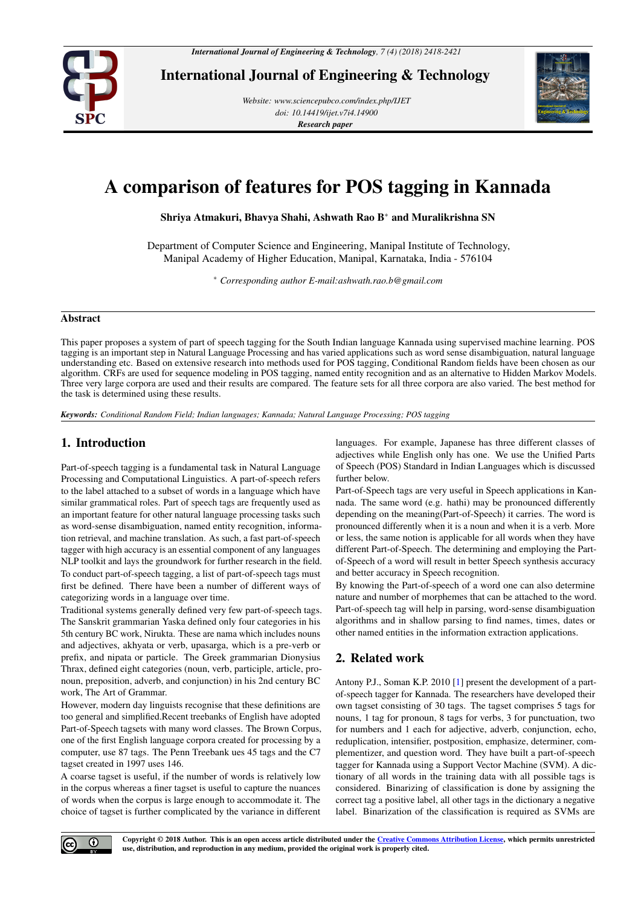

International Journal of Engineering & Technology

*Website: www.sciencepubco.com/index.php/IJET doi: 10.14419/ijet.v7i4.14900 Research paper*



# A comparison of features for POS tagging in Kannada

Shriya Atmakuri, Bhavya Shahi, Ashwath Rao B<sup>∗</sup> and Muralikrishna SN

Department of Computer Science and Engineering, Manipal Institute of Technology, Manipal Academy of Higher Education, Manipal, Karnataka, India - 576104

<sup>∗</sup> *Corresponding author E-mail:ashwath.rao.b@gmail.com*

## Abstract

This paper proposes a system of part of speech tagging for the South Indian language Kannada using supervised machine learning. POS tagging is an important step in Natural Language Processing and has varied applications such as word sense disambiguation, natural language understanding etc. Based on extensive research into methods used for POS tagging, Conditional Random fields have been chosen as our algorithm. CRFs are used for sequence modeling in POS tagging, named entity recognition and as an alternative to Hidden Markov Models. Three very large corpora are used and their results are compared. The feature sets for all three corpora are also varied. The best method for the task is determined using these results.

*Keywords: Conditional Random Field; Indian languages; Kannada; Natural Language Processing; POS tagging*

## 1. Introduction

Part-of-speech tagging is a fundamental task in Natural Language Processing and Computational Linguistics. A part-of-speech refers to the label attached to a subset of words in a language which have similar grammatical roles. Part of speech tags are frequently used as an important feature for other natural language processing tasks such as word-sense disambiguation, named entity recognition, information retrieval, and machine translation. As such, a fast part-of-speech tagger with high accuracy is an essential component of any languages NLP toolkit and lays the groundwork for further research in the field. To conduct part-of-speech tagging, a list of part-of-speech tags must first be defined. There have been a number of different ways of categorizing words in a language over time.

Traditional systems generally defined very few part-of-speech tags. The Sanskrit grammarian Yaska defined only four categories in his 5th century BC work, Nirukta. These are nama which includes nouns and adjectives, akhyata or verb, upasarga, which is a pre-verb or prefix, and nipata or particle. The Greek grammarian Dionysius Thrax, defined eight categories (noun, verb, participle, article, pronoun, preposition, adverb, and conjunction) in his 2nd century BC work, The Art of Grammar.

However, modern day linguists recognise that these definitions are too general and simplified.Recent treebanks of English have adopted Part-of-Speech tagsets with many word classes. The Brown Corpus, one of the first English language corpora created for processing by a computer, use 87 tags. The Penn Treebank ues 45 tags and the C7 tagset created in 1997 uses 146.

A coarse tagset is useful, if the number of words is relatively low in the corpus whereas a finer tagset is useful to capture the nuances of words when the corpus is large enough to accommodate it. The choice of tagset is further complicated by the variance in different languages. For example, Japanese has three different classes of adjectives while English only has one. We use the Unified Parts of Speech (POS) Standard in Indian Languages which is discussed further below.

Part-of-Speech tags are very useful in Speech applications in Kannada. The same word (e.g. hathi) may be pronounced differently depending on the meaning(Part-of-Speech) it carries. The word is pronounced differently when it is a noun and when it is a verb. More or less, the same notion is applicable for all words when they have different Part-of-Speech. The determining and employing the Partof-Speech of a word will result in better Speech synthesis accuracy and better accuracy in Speech recognition.

By knowing the Part-of-speech of a word one can also determine nature and number of morphemes that can be attached to the word. Part-of-speech tag will help in parsing, word-sense disambiguation algorithms and in shallow parsing to find names, times, dates or other named entities in the information extraction applications.

# 2. Related work

Antony P.J., Soman K.P. 2010 [\[1\]](#page-3-0) present the development of a partof-speech tagger for Kannada. The researchers have developed their own tagset consisting of 30 tags. The tagset comprises 5 tags for nouns, 1 tag for pronoun, 8 tags for verbs, 3 for punctuation, two for numbers and 1 each for adjective, adverb, conjunction, echo, reduplication, intensifier, postposition, emphasize, determiner, complementizer, and question word. They have built a part-of-speech tagger for Kannada using a Support Vector Machine (SVM). A dictionary of all words in the training data with all possible tags is considered. Binarizing of classification is done by assigning the correct tag a positive label, all other tags in the dictionary a negative label. Binarization of the classification is required as SVMs are

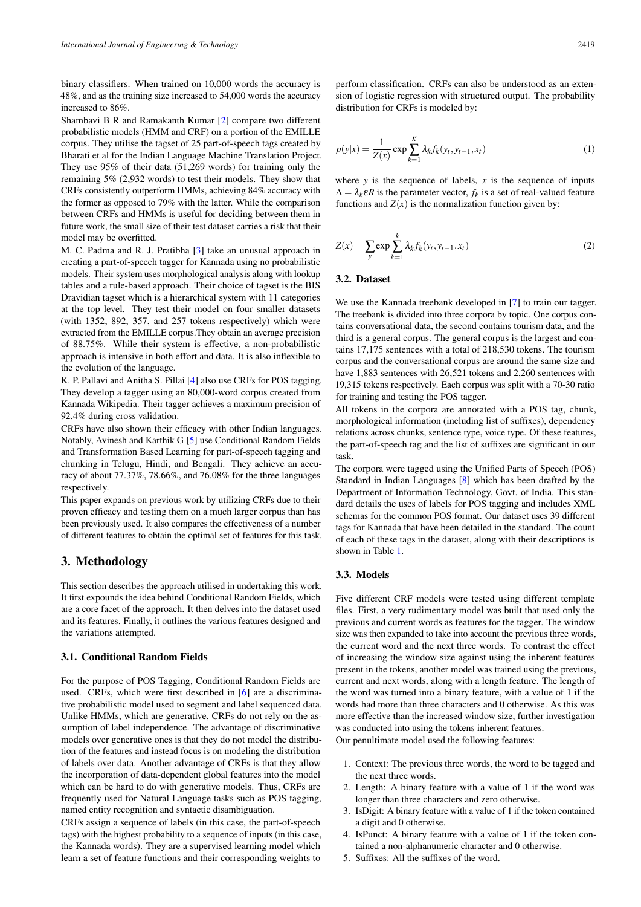binary classifiers. When trained on 10,000 words the accuracy is 48%, and as the training size increased to 54,000 words the accuracy increased to 86%.

Shambavi B R and Ramakanth Kumar [\[2\]](#page-3-1) compare two different probabilistic models (HMM and CRF) on a portion of the EMILLE corpus. They utilise the tagset of 25 part-of-speech tags created by Bharati et al for the Indian Language Machine Translation Project. They use 95% of their data (51,269 words) for training only the remaining 5% (2,932 words) to test their models. They show that CRFs consistently outperform HMMs, achieving 84% accuracy with the former as opposed to 79% with the latter. While the comparison between CRFs and HMMs is useful for deciding between them in future work, the small size of their test dataset carries a risk that their model may be overfitted.

M. C. Padma and R. J. Pratibha [\[3\]](#page-3-2) take an unusual approach in creating a part-of-speech tagger for Kannada using no probabilistic models. Their system uses morphological analysis along with lookup tables and a rule-based approach. Their choice of tagset is the BIS Dravidian tagset which is a hierarchical system with 11 categories at the top level. They test their model on four smaller datasets (with 1352, 892, 357, and 257 tokens respectively) which were extracted from the EMILLE corpus.They obtain an average precision of 88.75%. While their system is effective, a non-probabilistic approach is intensive in both effort and data. It is also inflexible to the evolution of the language.

K. P. Pallavi and Anitha S. Pillai [\[4\]](#page-3-3) also use CRFs for POS tagging. They develop a tagger using an 80,000-word corpus created from Kannada Wikipedia. Their tagger achieves a maximum precision of 92.4% during cross validation.

CRFs have also shown their efficacy with other Indian languages. Notably, Avinesh and Karthik G [\[5\]](#page-3-4) use Conditional Random Fields and Transformation Based Learning for part-of-speech tagging and chunking in Telugu, Hindi, and Bengali. They achieve an accuracy of about 77.37%, 78.66%, and 76.08% for the three languages respectively.

This paper expands on previous work by utilizing CRFs due to their proven efficacy and testing them on a much larger corpus than has been previously used. It also compares the effectiveness of a number of different features to obtain the optimal set of features for this task.

# 3. Methodology

This section describes the approach utilised in undertaking this work. It first expounds the idea behind Conditional Random Fields, which are a core facet of the approach. It then delves into the dataset used and its features. Finally, it outlines the various features designed and the variations attempted.

# 3.1. Conditional Random Fields

For the purpose of POS Tagging, Conditional Random Fields are used. CRFs, which were first described in [\[6\]](#page-3-5) are a discriminative probabilistic model used to segment and label sequenced data. Unlike HMMs, which are generative, CRFs do not rely on the assumption of label independence. The advantage of discriminative models over generative ones is that they do not model the distribution of the features and instead focus is on modeling the distribution of labels over data. Another advantage of CRFs is that they allow the incorporation of data-dependent global features into the model which can be hard to do with generative models. Thus, CRFs are frequently used for Natural Language tasks such as POS tagging, named entity recognition and syntactic disambiguation.

CRFs assign a sequence of labels (in this case, the part-of-speech tags) with the highest probability to a sequence of inputs (in this case, the Kannada words). They are a supervised learning model which learn a set of feature functions and their corresponding weights to

perform classification. CRFs can also be understood as an extension of logistic regression with structured output. The probability distribution for CRFs is modeled by:

$$
p(y|x) = \frac{1}{Z(x)} \exp \sum_{k=1}^{K} \lambda_k f_k(y_t, y_{t-1}, x_t)
$$
 (1)

where  $y$  is the sequence of labels,  $x$  is the sequence of inputs  $\Lambda = \lambda_k \varepsilon R$  is the parameter vector,  $f_k$  is a set of real-valued feature functions and  $Z(x)$  is the normalization function given by:

$$
Z(x) = \sum_{y} \exp \sum_{k=1}^{k} \lambda_k f_k(y_t, y_{t-1}, x_t)
$$
 (2)

#### 3.2. Dataset

We use the Kannada treebank developed in [\[7\]](#page-3-6) to train our tagger. The treebank is divided into three corpora by topic. One corpus contains conversational data, the second contains tourism data, and the third is a general corpus. The general corpus is the largest and contains 17,175 sentences with a total of 218,530 tokens. The tourism corpus and the conversational corpus are around the same size and have 1,883 sentences with 26,521 tokens and 2,260 sentences with 19,315 tokens respectively. Each corpus was split with a 70-30 ratio for training and testing the POS tagger.

All tokens in the corpora are annotated with a POS tag, chunk, morphological information (including list of suffixes), dependency relations across chunks, sentence type, voice type. Of these features, the part-of-speech tag and the list of suffixes are significant in our task.

The corpora were tagged using the Unified Parts of Speech (POS) Standard in Indian Languages [\[8\]](#page-3-7) which has been drafted by the Department of Information Technology, Govt. of India. This standard details the uses of labels for POS tagging and includes XML schemas for the common POS format. Our dataset uses 39 different tags for Kannada that have been detailed in the standard. The count of each of these tags in the dataset, along with their descriptions is shown in Table [1.](#page-2-0)

#### 3.3. Models

Five different CRF models were tested using different template files. First, a very rudimentary model was built that used only the previous and current words as features for the tagger. The window size was then expanded to take into account the previous three words, the current word and the next three words. To contrast the effect of increasing the window size against using the inherent features present in the tokens, another model was trained using the previous, current and next words, along with a length feature. The length of the word was turned into a binary feature, with a value of 1 if the words had more than three characters and 0 otherwise. As this was more effective than the increased window size, further investigation was conducted into using the tokens inherent features.

Our penultimate model used the following features:

- 1. Context: The previous three words, the word to be tagged and the next three words.
- 2. Length: A binary feature with a value of 1 if the word was longer than three characters and zero otherwise.
- 3. IsDigit: A binary feature with a value of 1 if the token contained a digit and 0 otherwise.
- 4. IsPunct: A binary feature with a value of 1 if the token contained a non-alphanumeric character and 0 otherwise.
- 5. Suffixes: All the suffixes of the word.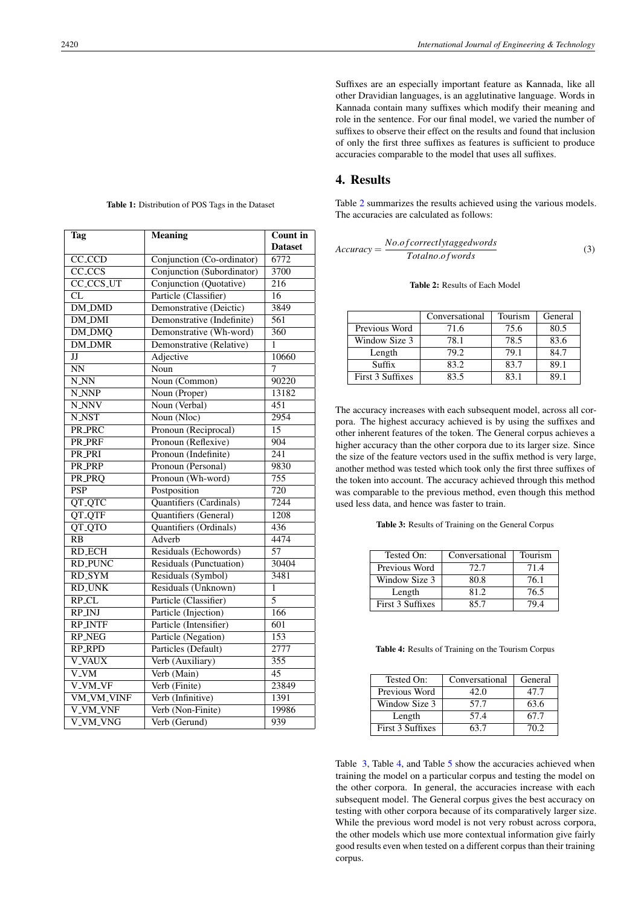Suffixes are an especially important feature as Kannada, like all other Dravidian languages, is an agglutinative language. Words in Kannada contain many suffixes which modify their meaning and role in the sentence. For our final model, we varied the number of suffixes to observe their effect on the results and found that inclusion of only the first three suffixes as features is sufficient to produce accuracies comparable to the model that uses all suffixes.

# 4. Results

Dataset

Table [2](#page-2-1) summarizes the results achieved using the various models. The accuracies are calculated as follows:

<span id="page-2-1"></span>
$$
Accuracy = \frac{No.of correctlytaggedwords}{Totalno.ofwords}
$$
 (3)

Table 2: Results of Each Model

|                  | Conversational | Tourism | General |
|------------------|----------------|---------|---------|
| Previous Word    | 71.6           | 75.6    | 80.5    |
| Window Size 3    | 78.1           | 78.5    | 83.6    |
| Length           | 79.2           | 79.1    | 84.7    |
| Suffix           | 83.2           | 83.7    | 89.1    |
| First 3 Suffixes | 83.5           | 83.1    |         |

The accuracy increases with each subsequent model, across all corpora. The highest accuracy achieved is by using the suffixes and other inherent features of the token. The General corpus achieves a higher accuracy than the other corpora due to its larger size. Since the size of the feature vectors used in the suffix method is very large, another method was tested which took only the first three suffixes of the token into account. The accuracy achieved through this method was comparable to the previous method, even though this method used less data, and hence was faster to train.

<span id="page-2-2"></span>

| Table 3: Results of Training on the General Corpus |  |  |  |
|----------------------------------------------------|--|--|--|
|----------------------------------------------------|--|--|--|

| Tested On:       | Conversational | Tourism |
|------------------|----------------|---------|
| Previous Word    | 72.7           | 71.4    |
| Window Size 3    | 80.8           | 76.1    |
| Length           | 81.2           | 76.5    |
| First 3 Suffixes | 857            | 79.4    |

<span id="page-2-3"></span>Table 4: Results of Training on the Tourism Corpus

| Tested On:              | Conversational | General |
|-------------------------|----------------|---------|
| Previous Word           | 42.O           | 47.7    |
| Window Size 3           | 57.7           | 63.6    |
| Length                  | 57.4           | 67.7    |
| <b>First 3 Suffixes</b> | 63 7           | 70 2    |

Table [3,](#page-2-2) Table [4,](#page-2-3) and Table [5](#page-3-8) show the accuracies achieved when training the model on a particular corpus and testing the model on the other corpora. In general, the accuracies increase with each subsequent model. The General corpus gives the best accuracy on testing with other corpora because of its comparatively larger size. While the previous word model is not very robust across corpora, the other models which use more contextual information give fairly good results even when tested on a different corpus than their training corpus.

| <b>DIVI-DIVIO</b>   | Delhonsuative (Will-Woru) | <b>JUU</b> |
|---------------------|---------------------------|------------|
| <b>DM_DMR</b>       | Demonstrative (Relative)  | 1          |
| IJ                  | Adjective                 | 10660      |
| NN                  | Noun                      | 7          |
| N_NN                | Noun (Common)             | 90220      |
| N_NNP               | Noun (Proper)             | 13182      |
| <b>N_NNV</b>        | Noun (Verbal)             | 451        |
| N_NST               | Noun (Nloc)               | 2954       |
| PR_PRC              | Pronoun (Reciprocal)      | 15         |
| PR_PRF              | Pronoun (Reflexive)       | 904        |
| PR_PRI              | Pronoun (Indefinite)      | 241        |
| PR_PRP              | Pronoun (Personal)        | 9830       |
| PR_PRO              | Pronoun (Wh-word)         | 755        |
| <b>PSP</b>          | Postposition              | 720        |
| QT_QTC              | Quantifiers (Cardinals)   | 7244       |
| QT_QTF              | Quantifiers (General)     | 1208       |
| OT <sub>-</sub> OTO | Quantifiers (Ordinals)    | 436        |

RB Adverb 4474 RD ECH Residuals (Echowords) 57 RD\_PUNC Residuals (Punctuation) 30404 RD SYM Residuals (Symbol) 3481 RD\_UNK Residuals (Unknown) 1 RP CL Particle (Classifier) 5<br>RP INI Particle (Injection) 166 RP\_INJ Particle (Injection) 166<br>RP\_INTE Particle (Intensifier) 601

RP\_NEG Particle (Negation) 153 RP\_RPD | Particles (Default) | 2777 V\_VAUX Verb (Auxiliary) 355  $V_V/M$  Verb (Main)  $45$ V\_VM\_VF | Verb (Finite) | 23849 VM\_VM\_VINF | Verb (Infinitive) | 1391 V\_VM\_VNF | Verb (Non-Finite) | 19986 V\_VM\_VNG | Verb (Gerund) 939

RP\_INTF Particle (Intensifier)

<span id="page-2-0"></span>Tag Meaning Count in

CC\_CCD Conjunction (Co-ordinator) 6772 CC\_CCS Conjunction (Subordinator) 3700 CC CCS UT Conjunction (Quotative) 216 CL Particle (Classifier) 16 DM\_DMD Demonstrative (Deictic) 3849 DM DMI Demonstrative (Indefinite) 561  $\frac{1}{\Omega_{\text{R}}}\frac{1}{\Omega_{\text{S}}}\frac{1}{\Omega_{\text{S}}}\frac{1}{\Omega_{\text{S}}}\frac{1}{\Omega_{\text{S}}}\frac{1}{\Omega_{\text{S}}}\frac{1}{\Omega_{\text{S}}}\frac{1}{\Omega_{\text{S}}}\frac{1}{\Omega_{\text{S}}}\frac{1}{\Omega_{\text{S}}}\frac{1}{\Omega_{\text{S}}}\frac{1}{\Omega_{\text{S}}}\frac{1}{\Omega_{\text{S}}}\frac{1}{\Omega_{\text{S}}}\frac{1}{\Omega_{\text{S}}}\frac{1}{\Omega_{\text{S}}}\frac{1}{\Omega_{\text{S$